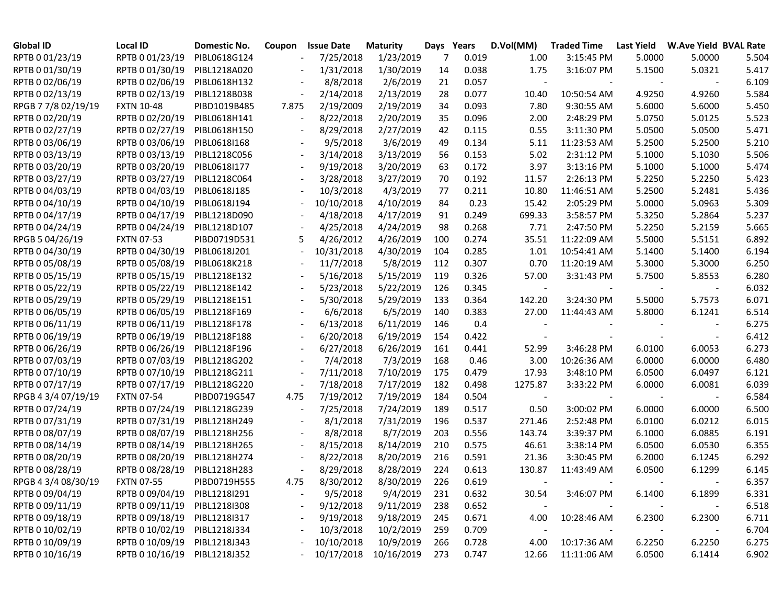| <b>Global ID</b>    | Local ID                     | Domestic No. | Coupon                   | <b>Issue Date</b> | <b>Maturity</b> |     | Days Years | D.Vol(MM)                | <b>Traded Time</b>       | <b>Last Yield</b> | W.Ave Yield BVAL Rate |       |
|---------------------|------------------------------|--------------|--------------------------|-------------------|-----------------|-----|------------|--------------------------|--------------------------|-------------------|-----------------------|-------|
| RPTB 0 01/23/19     | RPTB 0 01/23/19              | PIBL0618G124 | $\overline{\phantom{a}}$ | 7/25/2018         | 1/23/2019       | 7   | 0.019      | 1.00                     | 3:15:45 PM               | 5.0000            | 5.0000                | 5.504 |
| RPTB 0 01/30/19     | RPTB 0 01/30/19              | PIBL1218A020 |                          | 1/31/2018         | 1/30/2019       | 14  | 0.038      | 1.75                     | 3:16:07 PM               | 5.1500            | 5.0321                | 5.417 |
| RPTB 0 02/06/19     | RPTB 0 02/06/19              | PIBL0618H132 |                          | 8/8/2018          | 2/6/2019        | 21  | 0.057      | $\sim$                   |                          |                   |                       | 6.109 |
| RPTB 0 02/13/19     | RPTB 0 02/13/19              | PIBL1218B038 |                          | 2/14/2018         | 2/13/2019       | 28  | 0.077      | 10.40                    | 10:50:54 AM              | 4.9250            | 4.9260                | 5.584 |
| RPGB 7 7/8 02/19/19 | <b>FXTN 10-48</b>            | PIBD1019B485 | 7.875                    | 2/19/2009         | 2/19/2019       | 34  | 0.093      | 7.80                     | 9:30:55 AM               | 5.6000            | 5.6000                | 5.450 |
| RPTB 0 02/20/19     | RPTB 0 02/20/19              | PIBL0618H141 |                          | 8/22/2018         | 2/20/2019       | 35  | 0.096      | 2.00                     | 2:48:29 PM               | 5.0750            | 5.0125                | 5.523 |
| RPTB 0 02/27/19     | RPTB 0 02/27/19              | PIBL0618H150 | $\overline{\phantom{a}}$ | 8/29/2018         | 2/27/2019       | 42  | 0.115      | 0.55                     | 3:11:30 PM               | 5.0500            | 5.0500                | 5.471 |
| RPTB 0 03/06/19     | RPTB 0 03/06/19              | PIBL0618I168 | $\overline{\phantom{a}}$ | 9/5/2018          | 3/6/2019        | 49  | 0.134      | 5.11                     | 11:23:53 AM              | 5.2500            | 5.2500                | 5.210 |
| RPTB 0 03/13/19     | RPTB 0 03/13/19              | PIBL1218C056 | $\overline{\phantom{a}}$ | 3/14/2018         | 3/13/2019       | 56  | 0.153      | 5.02                     | 2:31:12 PM               | 5.1000            | 5.1030                | 5.506 |
| RPTB 0 03/20/19     | RPTB 0 03/20/19              | PIBL0618I177 | $\overline{\phantom{a}}$ | 9/19/2018         | 3/20/2019       | 63  | 0.172      | 3.97                     | 3:13:16 PM               | 5.1000            | 5.1000                | 5.474 |
| RPTB 0 03/27/19     | RPTB 0 03/27/19              | PIBL1218C064 | $\overline{\phantom{a}}$ | 3/28/2018         | 3/27/2019       | 70  | 0.192      | 11.57                    | 2:26:13 PM               | 5.2250            | 5.2250                | 5.423 |
| RPTB 0 04/03/19     | RPTB 0 04/03/19              | PIBL0618J185 | $\overline{\phantom{a}}$ | 10/3/2018         | 4/3/2019        | 77  | 0.211      | 10.80                    | 11:46:51 AM              | 5.2500            | 5.2481                | 5.436 |
| RPTB 0 04/10/19     | RPTB 0 04/10/19              | PIBL0618J194 | $\overline{\phantom{a}}$ | 10/10/2018        | 4/10/2019       | 84  | 0.23       | 15.42                    | 2:05:29 PM               | 5.0000            | 5.0963                | 5.309 |
| RPTB 0 04/17/19     | RPTB 0 04/17/19              | PIBL1218D090 |                          | 4/18/2018         | 4/17/2019       | 91  | 0.249      | 699.33                   | 3:58:57 PM               | 5.3250            | 5.2864                | 5.237 |
| RPTB 0 04/24/19     | RPTB 0 04/24/19              | PIBL1218D107 |                          | 4/25/2018         | 4/24/2019       | 98  | 0.268      | 7.71                     | 2:47:50 PM               | 5.2250            | 5.2159                | 5.665 |
| RPGB 5 04/26/19     | <b>FXTN 07-53</b>            | PIBD0719D531 | 5                        | 4/26/2012         | 4/26/2019       | 100 | 0.274      | 35.51                    | 11:22:09 AM              | 5.5000            | 5.5151                | 6.892 |
| RPTB 0 04/30/19     | RPTB 0 04/30/19              | PIBL0618J201 |                          | 10/31/2018        | 4/30/2019       | 104 | 0.285      | 1.01                     | 10:54:41 AM              | 5.1400            | 5.1400                | 6.194 |
| RPTB 0 05/08/19     | RPTB 0 05/08/19              | PIBL0618K218 |                          | 11/7/2018         | 5/8/2019        | 112 | 0.307      | 0.70                     | 11:20:19 AM              | 5.3000            | 5.3000                | 6.250 |
| RPTB 0 05/15/19     | RPTB 0 05/15/19              | PIBL1218E132 | $\overline{\phantom{a}}$ | 5/16/2018         | 5/15/2019       | 119 | 0.326      | 57.00                    | 3:31:43 PM               | 5.7500            | 5.8553                | 6.280 |
| RPTB 0 05/22/19     | RPTB 0 05/22/19              | PIBL1218E142 |                          | 5/23/2018         | 5/22/2019       | 126 | 0.345      | $\overline{\phantom{a}}$ | $\overline{\phantom{a}}$ |                   |                       | 6.032 |
| RPTB 0 05/29/19     | RPTB 0 05/29/19              | PIBL1218E151 | $\overline{\phantom{a}}$ | 5/30/2018         | 5/29/2019       | 133 | 0.364      | 142.20                   | 3:24:30 PM               | 5.5000            | 5.7573                | 6.071 |
| RPTB 0 06/05/19     | RPTB 0 06/05/19              | PIBL1218F169 | $\blacksquare$           | 6/6/2018          | 6/5/2019        | 140 | 0.383      | 27.00                    | 11:44:43 AM              | 5.8000            | 6.1241                | 6.514 |
| RPTB 0 06/11/19     | RPTB 0 06/11/19              | PIBL1218F178 | $\overline{\phantom{a}}$ | 6/13/2018         | 6/11/2019       | 146 | 0.4        |                          |                          |                   |                       | 6.275 |
| RPTB 0 06/19/19     | RPTB 0 06/19/19              | PIBL1218F188 | $\overline{\phantom{a}}$ | 6/20/2018         | 6/19/2019       | 154 | 0.422      | $\overline{\phantom{a}}$ |                          |                   |                       | 6.412 |
| RPTB 0 06/26/19     | RPTB 0 06/26/19              | PIBL1218F196 |                          | 6/27/2018         | 6/26/2019       | 161 | 0.441      | 52.99                    | 3:46:28 PM               | 6.0100            | 6.0053                | 6.273 |
| RPTB 0 07/03/19     | RPTB 0 07/03/19              | PIBL1218G202 |                          | 7/4/2018          | 7/3/2019        | 168 | 0.46       | 3.00                     | 10:26:36 AM              | 6.0000            | 6.0000                | 6.480 |
| RPTB 0 07/10/19     | RPTB 0 07/10/19              | PIBL1218G211 |                          | 7/11/2018         | 7/10/2019       | 175 | 0.479      | 17.93                    | 3:48:10 PM               | 6.0500            | 6.0497                | 6.121 |
| RPTB 0 07/17/19     | RPTB 0 07/17/19              | PIBL1218G220 |                          | 7/18/2018         | 7/17/2019       | 182 | 0.498      | 1275.87                  | 3:33:22 PM               | 6.0000            | 6.0081                | 6.039 |
| RPGB 4 3/4 07/19/19 | <b>FXTN 07-54</b>            | PIBD0719G547 | 4.75                     | 7/19/2012         | 7/19/2019       | 184 | 0.504      |                          |                          |                   |                       | 6.584 |
| RPTB 0 07/24/19     | RPTB 0 07/24/19              | PIBL1218G239 |                          | 7/25/2018         | 7/24/2019       | 189 | 0.517      | 0.50                     | 3:00:02 PM               | 6.0000            | 6.0000                | 6.500 |
| RPTB 0 07/31/19     | RPTB 0 07/31/19              | PIBL1218H249 | $\overline{\phantom{a}}$ | 8/1/2018          | 7/31/2019       | 196 | 0.537      | 271.46                   | 2:52:48 PM               | 6.0100            | 6.0212                | 6.015 |
| RPTB 0 08/07/19     | RPTB 0 08/07/19              | PIBL1218H256 | $\overline{\phantom{a}}$ | 8/8/2018          | 8/7/2019        | 203 | 0.556      | 143.74                   | 3:39:37 PM               | 6.1000            | 6.0885                | 6.191 |
| RPTB 0 08/14/19     | RPTB 0 08/14/19              | PIBL1218H265 | $\overline{\phantom{a}}$ | 8/15/2018         | 8/14/2019       | 210 | 0.575      | 46.61                    | 3:38:14 PM               | 6.0500            | 6.0530                | 6.355 |
| RPTB 0 08/20/19     | RPTB 0 08/20/19              | PIBL1218H274 | $\sim$                   | 8/22/2018         | 8/20/2019       | 216 | 0.591      | 21.36                    | 3:30:45 PM               | 6.2000            | 6.1245                | 6.292 |
| RPTB 0 08/28/19     | RPTB 0 08/28/19              | PIBL1218H283 |                          | 8/29/2018         | 8/28/2019       | 224 | 0.613      | 130.87                   | 11:43:49 AM              | 6.0500            | 6.1299                | 6.145 |
| RPGB 4 3/4 08/30/19 | <b>FXTN 07-55</b>            | PIBD0719H555 | 4.75                     | 8/30/2012         | 8/30/2019       | 226 | 0.619      |                          |                          |                   |                       | 6.357 |
| RPTB 0 09/04/19     | RPTB 0 09/04/19 PIBL1218I291 |              |                          | 9/5/2018          | 9/4/2019        | 231 | 0.632      | 30.54                    | 3:46:07 PM               | 6.1400            | 6.1899                | 6.331 |
| RPTB 0 09/11/19     | RPTB 0 09/11/19 PIBL1218I308 |              | $\overline{\phantom{a}}$ | 9/12/2018         | 9/11/2019       | 238 | 0.652      | $\overline{\phantom{a}}$ |                          |                   |                       | 6.518 |
| RPTB 0 09/18/19     | RPTB 0 09/18/19              | PIBL1218I317 |                          | 9/19/2018         | 9/18/2019       | 245 | 0.671      | 4.00                     | 10:28:46 AM              | 6.2300            | 6.2300                | 6.711 |
| RPTB 0 10/02/19     | RPTB 0 10/02/19              | PIBL1218J334 |                          | 10/3/2018         | 10/2/2019       | 259 | 0.709      | $\overline{\phantom{a}}$ |                          |                   |                       | 6.704 |
| RPTB 0 10/09/19     | RPTB 0 10/09/19              | PIBL1218J343 |                          | 10/10/2018        | 10/9/2019       | 266 | 0.728      | 4.00                     | 10:17:36 AM              | 6.2250            | 6.2250                | 6.275 |
| RPTB 0 10/16/19     | RPTB 0 10/16/19 PIBL1218J352 |              |                          | 10/17/2018        | 10/16/2019      | 273 | 0.747      | 12.66                    | 11:11:06 AM              | 6.0500            | 6.1414                | 6.902 |
|                     |                              |              |                          |                   |                 |     |            |                          |                          |                   |                       |       |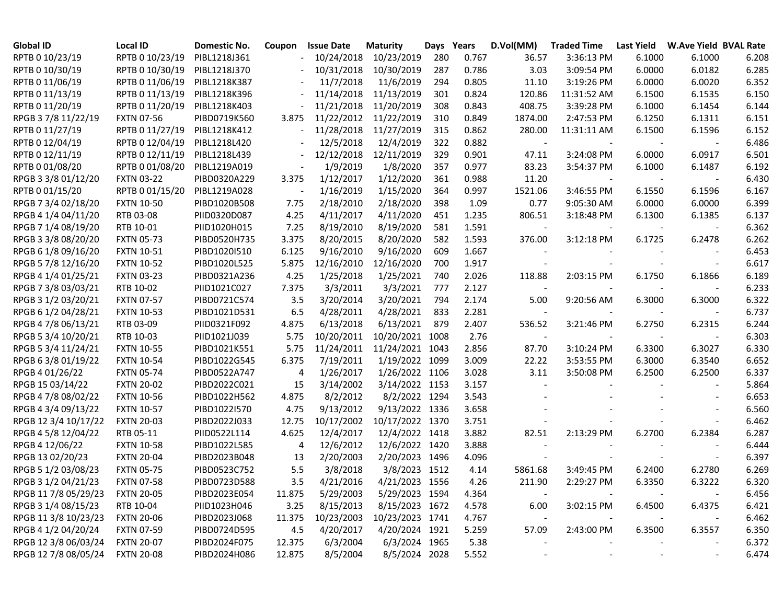| <b>Global ID</b>     | Local ID          | Domestic No. | Coupon                   | <b>Issue Date</b> | <b>Maturity</b> | Days | Years | D.Vol(MM)                | <b>Traded Time</b>       | Last Yield | <b>W.Ave Yield BVAL Rate</b> |       |
|----------------------|-------------------|--------------|--------------------------|-------------------|-----------------|------|-------|--------------------------|--------------------------|------------|------------------------------|-------|
| RPTB 0 10/23/19      | RPTB 0 10/23/19   | PIBL1218J361 | $\overline{\phantom{a}}$ | 10/24/2018        | 10/23/2019      | 280  | 0.767 | 36.57                    | 3:36:13 PM               | 6.1000     | 6.1000                       | 6.208 |
| RPTB 0 10/30/19      | RPTB 0 10/30/19   | PIBL1218J370 |                          | 10/31/2018        | 10/30/2019      | 287  | 0.786 | 3.03                     | 3:09:54 PM               | 6.0000     | 6.0182                       | 6.285 |
| RPTB 0 11/06/19      | RPTB 0 11/06/19   | PIBL1218K387 |                          | 11/7/2018         | 11/6/2019       | 294  | 0.805 | 11.10                    | 3:19:26 PM               | 6.0000     | 6.0020                       | 6.352 |
| RPTB 0 11/13/19      | RPTB 0 11/13/19   | PIBL1218K396 |                          | 11/14/2018        | 11/13/2019      | 301  | 0.824 | 120.86                   | 11:31:52 AM              | 6.1500     | 6.1535                       | 6.150 |
| RPTB 0 11/20/19      | RPTB 0 11/20/19   | PIBL1218K403 |                          | 11/21/2018        | 11/20/2019      | 308  | 0.843 | 408.75                   | 3:39:28 PM               | 6.1000     | 6.1454                       | 6.144 |
| RPGB 3 7/8 11/22/19  | <b>FXTN 07-56</b> | PIBD0719K560 | 3.875                    | 11/22/2012        | 11/22/2019      | 310  | 0.849 | 1874.00                  | 2:47:53 PM               | 6.1250     | 6.1311                       | 6.151 |
| RPTB 0 11/27/19      | RPTB 0 11/27/19   | PIBL1218K412 |                          | 11/28/2018        | 11/27/2019      | 315  | 0.862 | 280.00                   | 11:31:11 AM              | 6.1500     | 6.1596                       | 6.152 |
| RPTB 0 12/04/19      | RPTB 0 12/04/19   | PIBL1218L420 |                          | 12/5/2018         | 12/4/2019       | 322  | 0.882 | $\overline{\phantom{a}}$ |                          |            |                              | 6.486 |
| RPTB 0 12/11/19      | RPTB 0 12/11/19   | PIBL1218L439 | $\overline{\phantom{a}}$ | 12/12/2018        | 12/11/2019      | 329  | 0.901 | 47.11                    | 3:24:08 PM               | 6.0000     | 6.0917                       | 6.501 |
| RPTB 0 01/08/20      | RPTB 0 01/08/20   | PIBL1219A019 |                          | 1/9/2019          | 1/8/2020        | 357  | 0.977 | 83.23                    | 3:54:37 PM               | 6.1000     | 6.1487                       | 6.192 |
| RPGB 3 3/8 01/12/20  | <b>FXTN 03-22</b> | PIBD0320A229 | 3.375                    | 1/12/2017         | 1/12/2020       | 361  | 0.988 | 11.20                    |                          |            |                              | 6.430 |
| RPTB 0 01/15/20      | RPTB 0 01/15/20   | PIBL1219A028 |                          | 1/16/2019         | 1/15/2020       | 364  | 0.997 | 1521.06                  | 3:46:55 PM               | 6.1550     | 6.1596                       | 6.167 |
| RPGB 7 3/4 02/18/20  | <b>FXTN 10-50</b> | PIBD1020B508 | 7.75                     | 2/18/2010         | 2/18/2020       | 398  | 1.09  | 0.77                     | 9:05:30 AM               | 6.0000     | 6.0000                       | 6.399 |
| RPGB 4 1/4 04/11/20  | RTB 03-08         | PIID0320D087 | 4.25                     | 4/11/2017         | 4/11/2020       | 451  | 1.235 | 806.51                   | 3:18:48 PM               | 6.1300     | 6.1385                       | 6.137 |
| RPGB 7 1/4 08/19/20  | RTB 10-01         | PIID1020H015 | 7.25                     | 8/19/2010         | 8/19/2020       | 581  | 1.591 |                          |                          |            |                              | 6.362 |
| RPGB 3 3/8 08/20/20  | <b>FXTN 05-73</b> | PIBD0520H735 | 3.375                    | 8/20/2015         | 8/20/2020       | 582  | 1.593 | 376.00                   | 3:12:18 PM               | 6.1725     | 6.2478                       | 6.262 |
| RPGB 6 1/8 09/16/20  | <b>FXTN 10-51</b> | PIBD1020I510 | 6.125                    | 9/16/2010         | 9/16/2020       | 609  | 1.667 |                          |                          |            |                              | 6.453 |
| RPGB 5 7/8 12/16/20  | <b>FXTN 10-52</b> | PIBD1020L525 | 5.875                    | 12/16/2010        | 12/16/2020      | 700  | 1.917 |                          |                          |            |                              | 6.617 |
| RPGB 4 1/4 01/25/21  | <b>FXTN 03-23</b> | PIBD0321A236 | 4.25                     | 1/25/2018         | 1/25/2021       | 740  | 2.026 | 118.88                   | 2:03:15 PM               | 6.1750     | 6.1866                       | 6.189 |
| RPGB 7 3/8 03/03/21  | RTB 10-02         | PIID1021C027 | 7.375                    | 3/3/2011          | 3/3/2021        | 777  | 2.127 | $\overline{\phantom{a}}$ |                          |            |                              | 6.233 |
| RPGB 3 1/2 03/20/21  | <b>FXTN 07-57</b> | PIBD0721C574 | 3.5                      | 3/20/2014         | 3/20/2021       | 794  | 2.174 | 5.00                     | 9:20:56 AM               | 6.3000     | 6.3000                       | 6.322 |
| RPGB 6 1/2 04/28/21  | <b>FXTN 10-53</b> | PIBD1021D531 | 6.5                      | 4/28/2011         | 4/28/2021       | 833  | 2.281 | $\overline{\phantom{a}}$ | $\overline{\phantom{a}}$ |            |                              | 6.737 |
| RPGB 4 7/8 06/13/21  | RTB 03-09         | PIID0321F092 | 4.875                    | 6/13/2018         | 6/13/2021       | 879  | 2.407 | 536.52                   | 3:21:46 PM               | 6.2750     | 6.2315                       | 6.244 |
| RPGB 5 3/4 10/20/21  | RTB 10-03         | PIID1021J039 | 5.75                     | 10/20/2011        | 10/20/2021 1008 |      | 2.76  | $\overline{\phantom{a}}$ |                          |            |                              | 6.303 |
| RPGB 5 3/4 11/24/21  | <b>FXTN 10-55</b> | PIBD1021K551 | 5.75                     | 11/24/2011        | 11/24/2021 1043 |      | 2.856 | 87.70                    | 3:10:24 PM               | 6.3300     | 6.3027                       | 6.330 |
| RPGB 63/8 01/19/22   | <b>FXTN 10-54</b> | PIBD1022G545 | 6.375                    | 7/19/2011         | 1/19/2022 1099  |      | 3.009 | 22.22                    | 3:53:55 PM               | 6.3000     | 6.3540                       | 6.652 |
| RPGB 4 01/26/22      | <b>FXTN 05-74</b> | PIBD0522A747 | 4                        | 1/26/2017         | 1/26/2022 1106  |      | 3.028 | 3.11                     | 3:50:08 PM               | 6.2500     | 6.2500                       | 6.337 |
| RPGB 15 03/14/22     | <b>FXTN 20-02</b> | PIBD2022C021 | 15                       | 3/14/2002         | 3/14/2022 1153  |      | 3.157 |                          |                          |            |                              | 5.864 |
| RPGB 4 7/8 08/02/22  | <b>FXTN 10-56</b> | PIBD1022H562 | 4.875                    | 8/2/2012          | 8/2/2022 1294   |      | 3.543 |                          |                          |            |                              | 6.653 |
| RPGB 4 3/4 09/13/22  | <b>FXTN 10-57</b> | PIBD1022I570 | 4.75                     | 9/13/2012         | 9/13/2022 1336  |      | 3.658 |                          |                          |            |                              | 6.560 |
| RPGB 12 3/4 10/17/22 | <b>FXTN 20-03</b> | PIBD2022J033 | 12.75                    | 10/17/2002        | 10/17/2022 1370 |      | 3.751 |                          |                          |            |                              | 6.462 |
| RPGB 4 5/8 12/04/22  | RTB 05-11         | PIID0522L114 | 4.625                    | 12/4/2017         | 12/4/2022 1418  |      | 3.882 | 82.51                    | 2:13:29 PM               | 6.2700     | 6.2384                       | 6.287 |
| RPGB 4 12/06/22      | <b>FXTN 10-58</b> | PIBD1022L585 | 4                        | 12/6/2012         | 12/6/2022 1420  |      | 3.888 |                          |                          |            |                              | 6.444 |
| RPGB 13 02/20/23     | <b>FXTN 20-04</b> | PIBD2023B048 | 13                       | 2/20/2003         | 2/20/2023 1496  |      | 4.096 |                          |                          |            |                              | 6.397 |
| RPGB 5 1/2 03/08/23  | <b>FXTN 05-75</b> | PIBD0523C752 | 5.5                      | 3/8/2018          | 3/8/2023 1512   |      | 4.14  | 5861.68                  | 3:49:45 PM               | 6.2400     | 6.2780                       | 6.269 |
| RPGB 3 1/2 04/21/23  | <b>FXTN 07-58</b> | PIBD0723D588 | 3.5                      | 4/21/2016         | 4/21/2023 1556  |      | 4.26  | 211.90                   | 2:29:27 PM               | 6.3350     | 6.3222                       | 6.320 |
| RPGB 11 7/8 05/29/23 | <b>FXTN 20-05</b> | PIBD2023E054 | 11.875                   | 5/29/2003         | 5/29/2023 1594  |      | 4.364 |                          |                          |            |                              | 6.456 |
| RPGB 3 1/4 08/15/23  | RTB 10-04         | PIID1023H046 | 3.25                     | 8/15/2013         | 8/15/2023 1672  |      | 4.578 | 6.00                     | 3:02:15 PM               | 6.4500     | 6.4375                       | 6.421 |
| RPGB 11 3/8 10/23/23 | <b>FXTN 20-06</b> | PIBD2023J068 | 11.375                   | 10/23/2003        | 10/23/2023 1741 |      | 4.767 |                          |                          |            |                              | 6.462 |
| RPGB 4 1/2 04/20/24  | <b>FXTN 07-59</b> | PIBD0724D595 | 4.5                      | 4/20/2017         | 4/20/2024 1921  |      | 5.259 | 57.09                    | 2:43:00 PM               | 6.3500     | 6.3557                       | 6.350 |
| RPGB 12 3/8 06/03/24 | <b>FXTN 20-07</b> | PIBD2024F075 | 12.375                   | 6/3/2004          | 6/3/2024 1965   |      | 5.38  |                          |                          |            |                              | 6.372 |
| RPGB 12 7/8 08/05/24 | <b>FXTN 20-08</b> | PIBD2024H086 | 12.875                   | 8/5/2004          | 8/5/2024 2028   |      | 5.552 |                          |                          |            |                              | 6.474 |